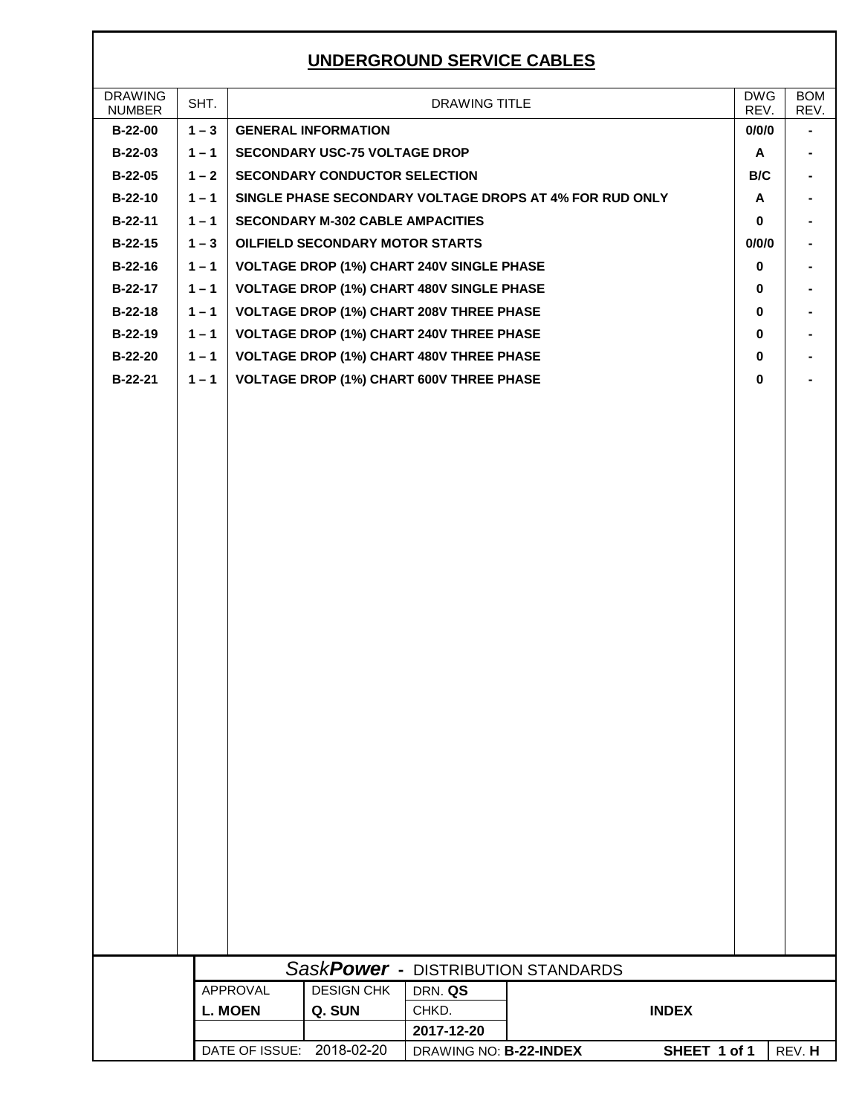## **UNDERGROUND SERVICE CABLES**

| <b>DRAWING</b><br><b>NUMBER</b> | SHT.    |                 |                                         | <b>DRAWING TITLE</b>                             |                                                         |              | <b>DWG</b><br>REV. | <b>BOM</b><br>REV. |
|---------------------------------|---------|-----------------|-----------------------------------------|--------------------------------------------------|---------------------------------------------------------|--------------|--------------------|--------------------|
| <b>B-22-00</b>                  | $1 - 3$ |                 | <b>GENERAL INFORMATION</b>              |                                                  |                                                         |              | 0/0/0              | $\blacksquare$     |
| B-22-03                         | $1 - 1$ |                 | <b>SECONDARY USC-75 VOLTAGE DROP</b>    |                                                  |                                                         |              | A                  |                    |
| <b>B-22-05</b>                  | $1 - 2$ |                 | <b>SECONDARY CONDUCTOR SELECTION</b>    |                                                  |                                                         |              | B/C                |                    |
| $B-22-10$                       | $1 - 1$ |                 |                                         |                                                  | SINGLE PHASE SECONDARY VOLTAGE DROPS AT 4% FOR RUD ONLY |              | A                  |                    |
| $B-22-11$                       | $1 - 1$ |                 | <b>SECONDARY M-302 CABLE AMPACITIES</b> |                                                  |                                                         |              | 0                  |                    |
| $B-22-15$                       | $1 - 3$ |                 | <b>OILFIELD SECONDARY MOTOR STARTS</b>  |                                                  |                                                         |              | 0/0/0              |                    |
| $B-22-16$                       | $1 - 1$ |                 |                                         | <b>VOLTAGE DROP (1%) CHART 240V SINGLE PHASE</b> |                                                         |              | 0                  |                    |
| B-22-17                         | $1 - 1$ |                 |                                         | <b>VOLTAGE DROP (1%) CHART 480V SINGLE PHASE</b> |                                                         |              | 0                  |                    |
| $B-22-18$                       | $1 - 1$ |                 |                                         | <b>VOLTAGE DROP (1%) CHART 208V THREE PHASE</b>  |                                                         |              | 0                  |                    |
| $B-22-19$                       | $1 - 1$ |                 |                                         | <b>VOLTAGE DROP (1%) CHART 240V THREE PHASE</b>  |                                                         |              | 0                  |                    |
| <b>B-22-20</b>                  | $1 - 1$ |                 |                                         | <b>VOLTAGE DROP (1%) CHART 480V THREE PHASE</b>  |                                                         |              | 0                  |                    |
| B-22-21                         | $1 - 1$ |                 |                                         | <b>VOLTAGE DROP (1%) CHART 600V THREE PHASE</b>  |                                                         |              | 0                  |                    |
|                                 |         |                 |                                         |                                                  |                                                         |              |                    |                    |
|                                 |         |                 |                                         |                                                  |                                                         |              |                    |                    |
|                                 |         |                 |                                         |                                                  |                                                         |              |                    |                    |
|                                 |         |                 |                                         |                                                  |                                                         |              |                    |                    |
|                                 |         |                 |                                         |                                                  |                                                         |              |                    |                    |
|                                 |         |                 |                                         |                                                  |                                                         |              |                    |                    |
|                                 |         |                 |                                         |                                                  |                                                         |              |                    |                    |
|                                 |         |                 |                                         |                                                  |                                                         |              |                    |                    |
|                                 |         |                 |                                         |                                                  |                                                         |              |                    |                    |
|                                 |         |                 |                                         |                                                  |                                                         |              |                    |                    |
|                                 |         |                 |                                         |                                                  |                                                         |              |                    |                    |
|                                 |         |                 |                                         |                                                  |                                                         |              |                    |                    |
|                                 |         |                 |                                         |                                                  |                                                         |              |                    |                    |
|                                 |         |                 |                                         |                                                  |                                                         |              |                    |                    |
|                                 |         |                 |                                         |                                                  |                                                         |              |                    |                    |
|                                 |         |                 |                                         |                                                  |                                                         |              |                    |                    |
|                                 |         |                 |                                         |                                                  |                                                         |              |                    |                    |
|                                 |         |                 |                                         |                                                  |                                                         |              |                    |                    |
|                                 |         |                 |                                         |                                                  |                                                         |              |                    |                    |
|                                 |         |                 |                                         |                                                  |                                                         |              |                    |                    |
|                                 |         |                 |                                         |                                                  |                                                         |              |                    |                    |
|                                 |         |                 |                                         |                                                  |                                                         |              |                    |                    |
|                                 |         |                 |                                         |                                                  |                                                         |              |                    |                    |
|                                 |         |                 |                                         |                                                  |                                                         |              |                    |                    |
|                                 |         |                 |                                         |                                                  |                                                         |              |                    |                    |
|                                 |         |                 |                                         |                                                  | SaskPower - DISTRIBUTION STANDARDS                      |              |                    |                    |
|                                 |         | <b>APPROVAL</b> | <b>DESIGN CHK</b>                       | DRN. QS                                          |                                                         |              |                    |                    |
|                                 |         | <b>L. MOEN</b>  | Q. SUN                                  | CHKD.                                            |                                                         | <b>INDEX</b> |                    |                    |
|                                 |         |                 |                                         | 2017-12-20                                       |                                                         |              |                    |                    |
|                                 |         |                 | DATE OF ISSUE: 2018-02-20               | DRAWING NO: B-22-INDEX                           |                                                         | SHEET 1 of 1 |                    | REV. H             |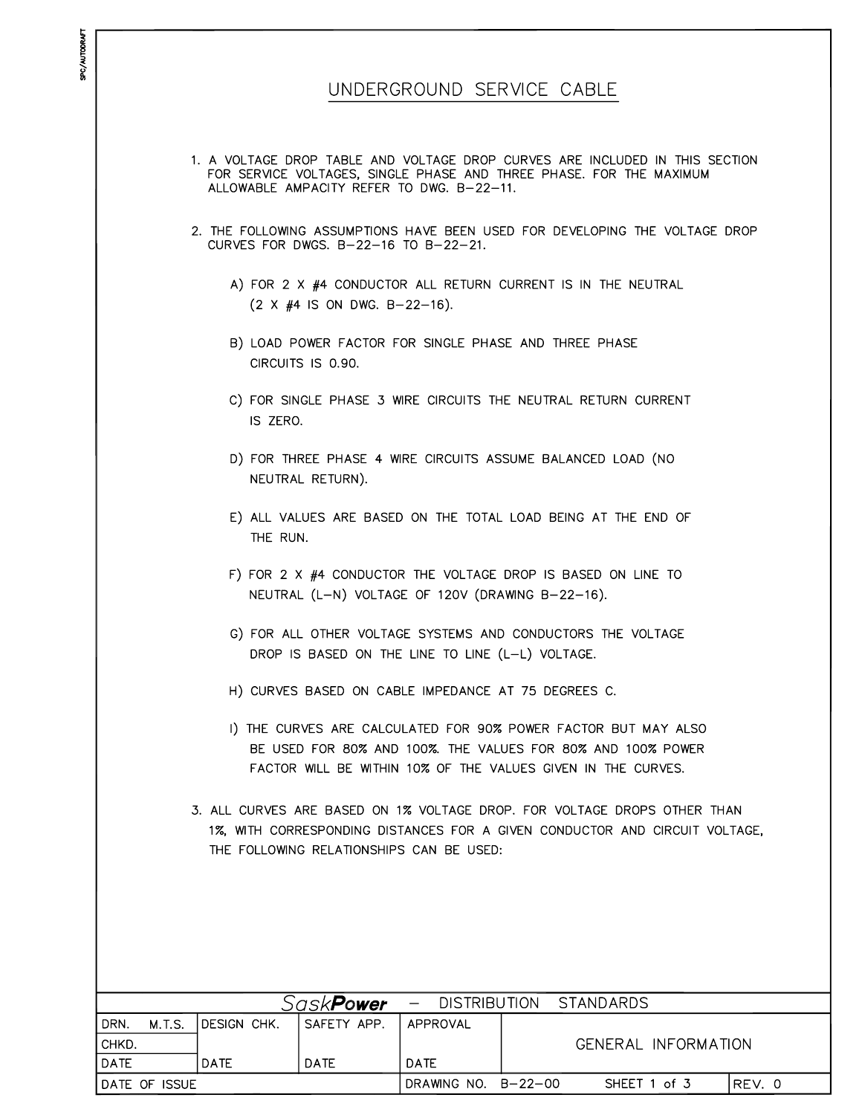|                       |             |                                      |                                                  | UNDERGROUND SERVICE CABLE                                                                                                                               |
|-----------------------|-------------|--------------------------------------|--------------------------------------------------|---------------------------------------------------------------------------------------------------------------------------------------------------------|
|                       |             |                                      |                                                  |                                                                                                                                                         |
|                       |             |                                      |                                                  | 1. A VOLTAGE DROP TABLE AND VOLTAGE DROP CURVES ARE INCLUDED IN THIS SECTION                                                                            |
|                       |             |                                      | ALLOWABLE AMPACITY REFER TO DWG. B-22-11.        | FOR SERVICE VOLTAGES, SINGLE PHASE AND THREE PHASE. FOR THE MAXIMUM                                                                                     |
|                       |             | CURVES FOR DWGS. B-22-16 TO B-22-21. |                                                  | 2. THE FOLLOWING ASSUMPTIONS HAVE BEEN USED FOR DEVELOPING THE VOLTAGE DROP                                                                             |
|                       |             | $(2 \times #4$ IS ON DWG. B-22-16).  |                                                  | A) FOR 2 X #4 CONDUCTOR ALL RETURN CURRENT IS IN THE NEUTRAL                                                                                            |
|                       |             | CIRCUITS IS 0.90.                    |                                                  | B) LOAD POWER FACTOR FOR SINGLE PHASE AND THREE PHASE                                                                                                   |
|                       | IS ZERO.    |                                      |                                                  | C) FOR SINGLE PHASE 3 WIRE CIRCUITS THE NEUTRAL RETURN CURRENT                                                                                          |
|                       |             | NEUTRAL RETURN).                     |                                                  | D) FOR THREE PHASE 4 WIRE CIRCUITS ASSUME BALANCED LOAD (NO                                                                                             |
|                       | THE RUN.    |                                      |                                                  | E) ALL VALUES ARE BASED ON THE TOTAL LOAD BEING AT THE END OF                                                                                           |
|                       |             |                                      |                                                  | F) FOR 2 X #4 CONDUCTOR THE VOLTAGE DROP IS BASED ON LINE TO<br>NEUTRAL (L-N) VOLTAGE OF 120V (DRAWING B-22-16).                                        |
|                       |             |                                      | DROP IS BASED ON THE LINE TO LINE (L-L) VOLTAGE. | G) FOR ALL OTHER VOLTAGE SYSTEMS AND CONDUCTORS THE VOLTAGE                                                                                             |
|                       |             |                                      |                                                  | H) CURVES BASED ON CABLE IMPEDANCE AT 75 DEGREES C.                                                                                                     |
|                       |             |                                      |                                                  | 1) THE CURVES ARE CALCULATED FOR 90% POWER FACTOR BUT MAY ALSO                                                                                          |
|                       |             |                                      |                                                  | BE USED FOR 80% AND 100%. THE VALUES FOR 80% AND 100% POWER                                                                                             |
|                       |             |                                      |                                                  | FACTOR WILL BE WITHIN 10% OF THE VALUES GIVEN IN THE CURVES.                                                                                            |
|                       |             |                                      | THE FOLLOWING RELATIONSHIPS CAN BE USED:         | 3. ALL CURVES ARE BASED ON 1% VOLTAGE DROP. FOR VOLTAGE DROPS OTHER THAN<br>1%, WITH CORRESPONDING DISTANCES FOR A GIVEN CONDUCTOR AND CIRCUIT VOLTAGE, |
|                       |             |                                      |                                                  |                                                                                                                                                         |
|                       |             |                                      |                                                  |                                                                                                                                                         |
|                       |             |                                      |                                                  |                                                                                                                                                         |
|                       |             |                                      |                                                  |                                                                                                                                                         |
|                       |             | Sask <b>Power</b>                    | <b>DISTRIBUTION</b><br>$\overline{\phantom{0}}$  | <b>STANDARDS</b>                                                                                                                                        |
| <b>M.T.S.</b><br>DRN. | DESIGN CHK. | SAFETY APP.                          | APPROVAL                                         |                                                                                                                                                         |
| CHKD.                 |             |                                      |                                                  | GENERAL INFORMATION                                                                                                                                     |
| <b>DATE</b>           | DATE        | DATE                                 | <b>DATE</b>                                      |                                                                                                                                                         |

DRAWING NO. B-22-00

SHEET 1 of 3

REV. 0

DATE OF ISSUE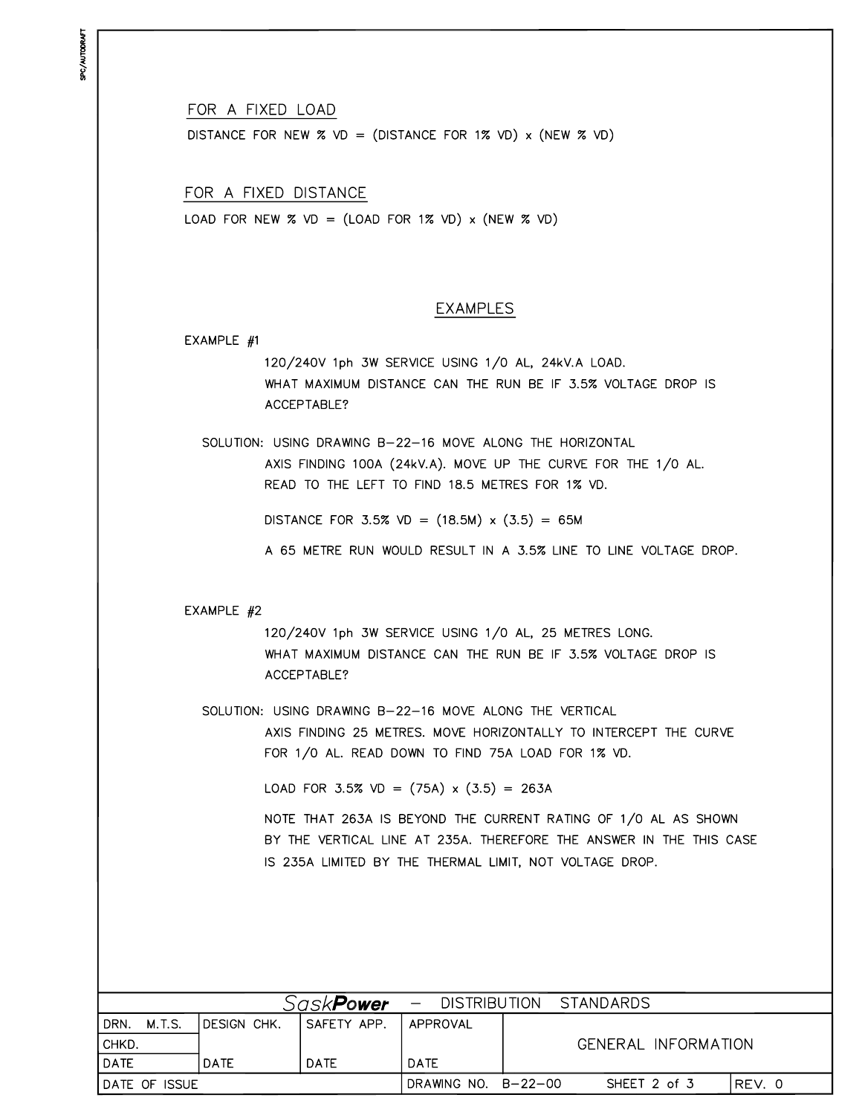**JPC/AUTODRAFT** 

FOR A FIXED LOAD

DISTANCE FOR NEW  $\%$  VD = (DISTANCE FOR 1% VD) x (NEW  $\%$  VD)

FOR A FIXED DISTANCE LOAD FOR NEW  $\%$  VD = (LOAD FOR 1% VD) x (NEW  $\%$  VD)

### **EXAMPLES**

#### EXAMPLE  $#1$

120/240V 1ph 3W SERVICE USING 1/0 AL, 24kV.A LOAD. WHAT MAXIMUM DISTANCE CAN THE RUN BE IF 3.5% VOLTAGE DROP IS ACCEPTABLE?

SOLUTION: USING DRAWING B-22-16 MOVE ALONG THE HORIZONTAL AXIS FINDING 100A (24kV.A). MOVE UP THE CURVE FOR THE 1/0 AL.

DISTANCE FOR 3.5% VD =  $(18.5M) \times (3.5) = 65M$ 

READ TO THE LEFT TO FIND 18.5 METRES FOR 1% VD.

A 65 METRE RUN WOULD RESULT IN A 3.5% LINE TO LINE VOLTAGE DROP.

#### EXAMPLE #2

120/240V 1ph 3W SERVICE USING 1/0 AL, 25 METRES LONG. WHAT MAXIMUM DISTANCE CAN THE RUN BE IF 3.5% VOLTAGE DROP IS ACCEPTABLE?

SOLUTION: USING DRAWING B-22-16 MOVE ALONG THE VERTICAL

AXIS FINDING 25 METRES. MOVE HORIZONTALLY TO INTERCEPT THE CURVE FOR 1/0 AL. READ DOWN TO FIND 75A LOAD FOR 1% VD.

LOAD FOR 3.5% VD =  $(75A) \times (3.5) = 263A$ 

NOTE THAT 263A IS BEYOND THE CURRENT RATING OF 1/0 AL AS SHOWN BY THE VERTICAL LINE AT 235A. THEREFORE THE ANSWER IN THE THIS CASE IS 235A LIMITED BY THE THERMAL LIMIT, NOT VOLTAGE DROP.

| Sask <b>Power</b><br>- DISTRIBUTION STANDARDS |                     |             |                     |  |                     |       |
|-----------------------------------------------|---------------------|-------------|---------------------|--|---------------------|-------|
| DRN.<br>M.T.S.                                | <b>IDESIGN CHK.</b> | SAFETY APP. | APPROVAL            |  |                     |       |
| CHKD.                                         |                     |             |                     |  | GENERAL INFORMATION |       |
| DATE                                          | DATE                | <b>DATE</b> | <b>DATE</b>         |  |                     |       |
| IDATE OF ISSUE                                |                     |             | DRAWING NO. B-22-00 |  | SHEET 2 of 3        | RFV.O |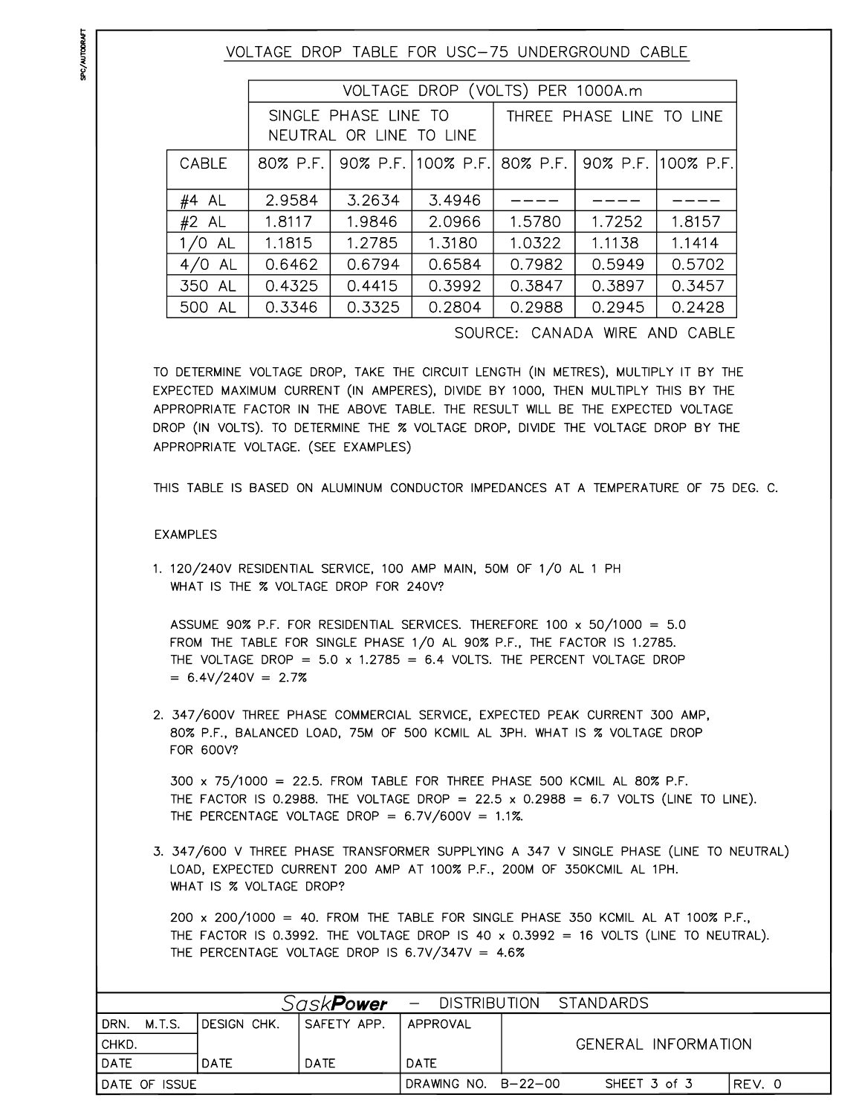VOLTAGE DROP TABLE FOR USC-75 UNDERGROUND CABLE

|           |                                                 | VOLTAGE DROP (VOLTS) PER 1000A.m |                                                  |                          |        |        |  |  |
|-----------|-------------------------------------------------|----------------------------------|--------------------------------------------------|--------------------------|--------|--------|--|--|
|           | SINGLE PHASE LINE TO<br>NEUTRAL OR LINE TO LINE |                                  |                                                  | THREE PHASE LINE TO LINE |        |        |  |  |
| CABLE     | 80% P.F.                                        |                                  | 90% P.F. 100% P.F.  80% P.F.  90% P.F. 100% P.F. |                          |        |        |  |  |
| #4 AL     | 2.9584                                          | 3.2634                           | 3.4946                                           |                          |        |        |  |  |
| $#2$ AL   | 1.8117                                          | 1.9846                           | 2.0966                                           | 1.5780                   | 1.7252 | 1.8157 |  |  |
| $1/0$ AL  | 1.1815                                          | 1.2785                           | 1.3180                                           | 1.0322                   | 1.1138 | 1.1414 |  |  |
| AL<br>4/0 | 0.6462                                          | 0.6794                           | 0.6584                                           | 0.7982                   | 0.5949 | 0.5702 |  |  |
| 350 AL    | 0.4325                                          | 0.4415                           | 0.3992                                           | 0.3847                   | 0.3897 | 0.3457 |  |  |
| 500 AL    | 0.3346                                          | 0.3325                           | 0.2804                                           | 0.2988                   | 0.2945 | 0.2428 |  |  |
|           |                                                 |                                  |                                                  |                          |        |        |  |  |

SOURCE: CANADA WIRE AND CABLE

TO DETERMINE VOLTAGE DROP, TAKE THE CIRCUIT LENGTH (IN METRES), MULTIPLY IT BY THE EXPECTED MAXIMUM CURRENT (IN AMPERES), DIVIDE BY 1000, THEN MULTIPLY THIS BY THE APPROPRIATE FACTOR IN THE ABOVE TABLE. THE RESULT WILL BE THE EXPECTED VOLTAGE DROP (IN VOLTS). TO DETERMINE THE % VOLTAGE DROP, DIVIDE THE VOLTAGE DROP BY THE APPROPRIATE VOLTAGE. (SEE EXAMPLES)

THIS TABLE IS BASED ON ALUMINUM CONDUCTOR IMPEDANCES AT A TEMPERATURE OF 75 DEG. C.

#### **EXAMPLES**

1. 120/240V RESIDENTIAL SERVICE, 100 AMP MAIN, 50M OF 1/0 AL 1 PH WHAT IS THE % VOLTAGE DROP FOR 240V?

ASSUME 90% P.F. FOR RESIDENTIAL SERVICES. THEREFORE 100 x 50/1000 = 5.0 FROM THE TABLE FOR SINGLE PHASE 1/0 AL 90% P.F., THE FACTOR IS 1.2785. THE VOLTAGE DROP = 5.0 x 1.2785 = 6.4 VOLTS. THE PERCENT VOLTAGE DROP  $= 6.4 \sqrt{240} = 2.7\%$ 

2. 347/600V THREE PHASE COMMERCIAL SERVICE, EXPECTED PEAK CURRENT 300 AMP, 80% P.F., BALANCED LOAD, 75M OF 500 KCMIL AL 3PH. WHAT IS % VOLTAGE DROP FOR 600V?

300 x 75/1000 = 22.5. FROM TABLE FOR THREE PHASE 500 KCMIL AL 80% P.F. THE FACTOR IS 0.2988. THE VOLTAGE DROP =  $22.5 \times 0.2988 = 6.7$  VOLTS (LINE TO LINE). THE PERCENTAGE VOLTAGE DROP =  $6.7V/600V = 1.1\%$ .

3. 347/600 V THREE PHASE TRANSFORMER SUPPLYING A 347 V SINGLE PHASE (LINE TO NEUTRAL) LOAD, EXPECTED CURRENT 200 AMP AT 100% P.F., 200M OF 350KCMIL AL 1PH. WHAT IS % VOLTAGE DROP?

200 x 200/1000 = 40. FROM THE TABLE FOR SINGLE PHASE 350 KCMIL AL AT 100% P.F., THE FACTOR IS 0.3992. THE VOLTAGE DROP IS 40 x 0.3992 = 16 VOLTS (LINE TO NEUTRAL). THE PERCENTAGE VOLTAGE DROP IS 6.7V/347V =  $4.6\%$ 

|                | Sask <b>Power</b> |                     | - DISTRIBUTION STANDARDS |                     |  |
|----------------|-------------------|---------------------|--------------------------|---------------------|--|
| M.T.S.<br>DRN. | IDESIGN CHK.      | SAFETY APP.         | APPROVAL                 |                     |  |
| CHKD.          |                   |                     |                          | GENERAL INFORMATION |  |
| DATE           | DATE              | <b>DATE</b>         | DATE                     |                     |  |
| DATE OF ISSUE  |                   | DRAWING NO. B-22-00 | SHEET 3 of 3             | IREV. 0             |  |

**JPC/AUTODRAFT**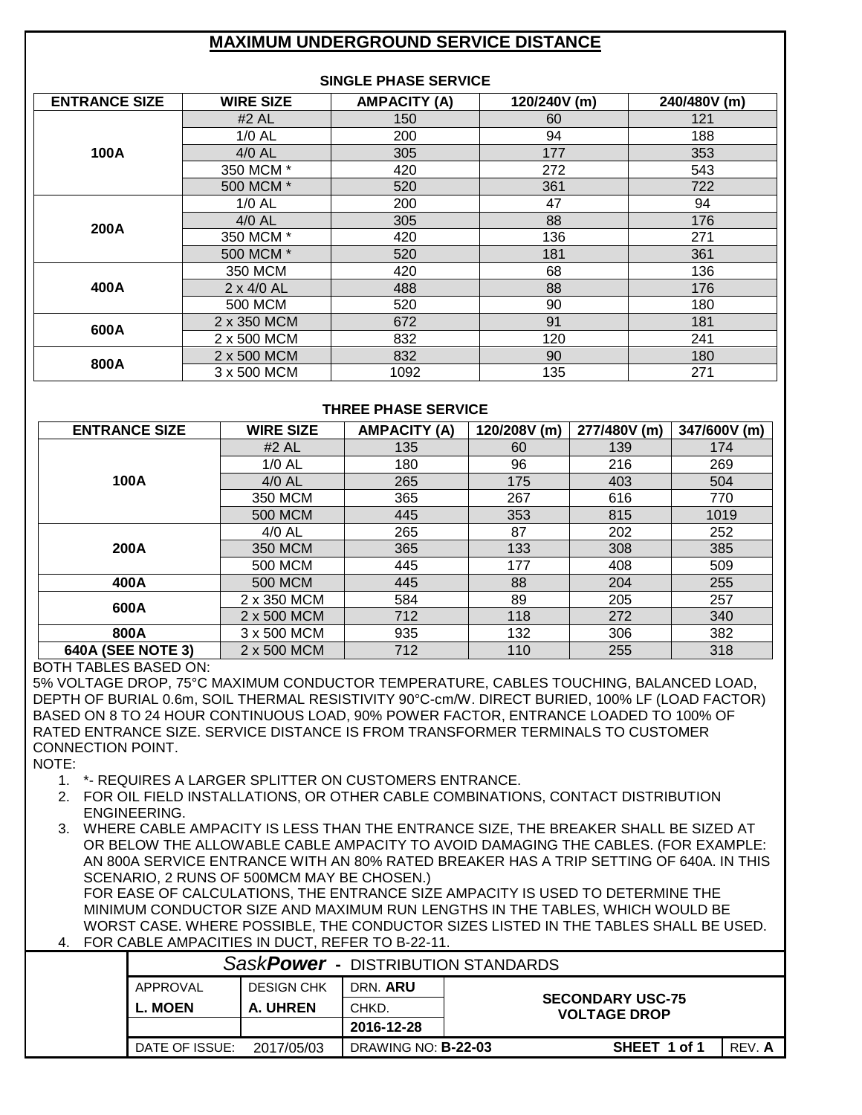## **MAXIMUM UNDERGROUND SERVICE DISTANCE**

| <b>SINGLE PHASE SERVICE</b> |                   |                     |              |              |  |  |  |  |
|-----------------------------|-------------------|---------------------|--------------|--------------|--|--|--|--|
| <b>ENTRANCE SIZE</b>        | <b>WIRE SIZE</b>  | <b>AMPACITY (A)</b> | 120/240V (m) | 240/480V (m) |  |  |  |  |
|                             | $#2$ AL           | 150                 | 60           | 121          |  |  |  |  |
|                             | $1/0$ AL          | 200                 | 94           | 188          |  |  |  |  |
| 100A                        | 4/0 AL            | 305                 | 177          | 353          |  |  |  |  |
|                             | 350 MCM *         | 420                 | 272          | 543          |  |  |  |  |
|                             | 500 MCM *         | 520                 | 361          | 722          |  |  |  |  |
|                             | $1/0$ AL          | 200                 | 47           | 94           |  |  |  |  |
| 200A                        | $4/0$ AL          | 305                 | 88           | 176          |  |  |  |  |
|                             | 350 MCM *         | 420                 | 136          | 271          |  |  |  |  |
|                             | 500 MCM *         | 520                 | 181          | 361          |  |  |  |  |
|                             | 350 MCM           | 420                 | 68           | 136          |  |  |  |  |
| 400A                        | $2 \times 4/0$ AL | 488                 | 88           | 176          |  |  |  |  |
|                             | 500 MCM           | 520                 | 90           | 180          |  |  |  |  |
| 600A                        | 2 x 350 MCM       | 672                 | 91           | 181          |  |  |  |  |
|                             | 2 x 500 MCM       | 832                 | 120          | 241          |  |  |  |  |
|                             | 2 x 500 MCM       | 832                 | 90           | 180          |  |  |  |  |
| 800A                        | 3 x 500 MCM       | 1092                | 135          | 271          |  |  |  |  |

### **THREE PHASE SERVICE**

| <b>ENTRANCE SIZE</b>     | <b>WIRE SIZE</b> | <b>AMPACITY (A)</b> | 120/208V (m) | 277/480V (m) | 347/600V (m) |
|--------------------------|------------------|---------------------|--------------|--------------|--------------|
|                          | #2 AL            | 135                 | 60           | 139          | 174          |
|                          | $1/0$ AL         | 180                 | 96           | 216          | 269          |
| 100A                     | 4/0 AL           | 265                 | 175          | 403          | 504          |
|                          | 350 MCM          | 365                 | 267          | 616          | 770          |
|                          | <b>500 MCM</b>   | 445                 | 353          | 815          | 1019         |
|                          | $4/0$ AL         | 265                 | 87           | 202          | 252          |
| 200A                     | 350 MCM          | 365                 | 133          | 308          | 385          |
|                          | 500 MCM          | 445                 | 177          | 408          | 509          |
| 400A                     | <b>500 MCM</b>   | 445                 | 88           | 204          | 255          |
| 600A                     | 2 x 350 MCM      | 584                 | 89           | 205          | 257          |
|                          | 2 x 500 MCM      | 712                 | 118          | 272          | 340          |
| 800A                     | 3 x 500 MCM      | 935                 | 132          | 306          | 382          |
| <b>640A (SEE NOTE 3)</b> | 2 x 500 MCM      | 712                 | 110          | 255          | 318          |

### BOTH TABLES BASED ON:

5% VOLTAGE DROP, 75°C MAXIMUM CONDUCTOR TEMPERATURE, CABLES TOUCHING, BALANCED LOAD, DEPTH OF BURIAL 0.6m, SOIL THERMAL RESISTIVITY 90°C-cm/W. DIRECT BURIED, 100% LF (LOAD FACTOR) BASED ON 8 TO 24 HOUR CONTINUOUS LOAD, 90% POWER FACTOR, ENTRANCE LOADED TO 100% OF RATED ENTRANCE SIZE. SERVICE DISTANCE IS FROM TRANSFORMER TERMINALS TO CUSTOMER CONNECTION POINT.

NOTE:

- 1. \*- REQUIRES A LARGER SPLITTER ON CUSTOMERS ENTRANCE.
- 2. FOR OIL FIELD INSTALLATIONS, OR OTHER CABLE COMBINATIONS, CONTACT DISTRIBUTION ENGINEERING.
- 3. WHERE CABLE AMPACITY IS LESS THAN THE ENTRANCE SIZE, THE BREAKER SHALL BE SIZED AT OR BELOW THE ALLOWABLE CABLE AMPACITY TO AVOID DAMAGING THE CABLES. (FOR EXAMPLE: AN 800A SERVICE ENTRANCE WITH AN 80% RATED BREAKER HAS A TRIP SETTING OF 640A. IN THIS SCENARIO, 2 RUNS OF 500MCM MAY BE CHOSEN.)

FOR EASE OF CALCULATIONS, THE ENTRANCE SIZE AMPACITY IS USED TO DETERMINE THE MINIMUM CONDUCTOR SIZE AND MAXIMUM RUN LENGTHS IN THE TABLES, WHICH WOULD BE WORST CASE. WHERE POSSIBLE, THE CONDUCTOR SIZES LISTED IN THE TABLES SHALL BE USED. 4. FOR CABLE AMPACITIES IN DUCT, REFER TO B-22-11.

| SaskPower - DISTRIBUTION STANDARDS                                             |                   |                            |  |              |        |  |  |  |
|--------------------------------------------------------------------------------|-------------------|----------------------------|--|--------------|--------|--|--|--|
| APPROVAL                                                                       | <b>DESIGN CHK</b> | DRN. ARU                   |  |              |        |  |  |  |
| <b>SECONDARY USC-75</b><br>A. UHREN<br>L. MOEN<br>CHKD.<br><b>VOLTAGE DROP</b> |                   |                            |  |              |        |  |  |  |
|                                                                                |                   | 2016-12-28                 |  |              |        |  |  |  |
| DATE OF ISSUE:                                                                 | 2017/05/03        | DRAWING NO: <b>B-22-03</b> |  | SHEET 1 of 1 | REV. A |  |  |  |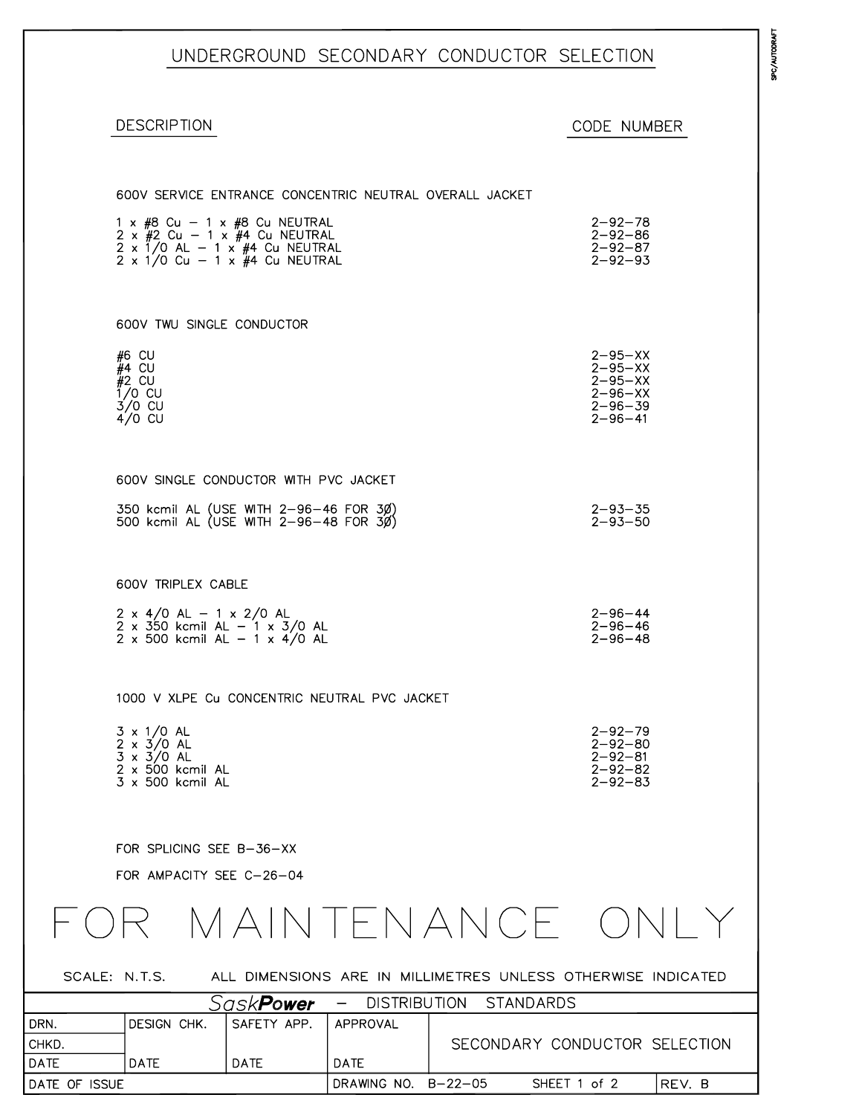UNDERGROUND SECONDARY CONDUCTOR SELECTION

DESCRIPTION

### CODE NUMBER

|               | 600V SERVICE ENTRANCE CONCENTRIC NEUTRAL OVERALL JACKET                                                                                                                        |                   |                     |                  |                                                                                                    |        |
|---------------|--------------------------------------------------------------------------------------------------------------------------------------------------------------------------------|-------------------|---------------------|------------------|----------------------------------------------------------------------------------------------------|--------|
|               | $1 \times #8$ Cu - $1 \times #8$ Cu NEUTRAL<br>$2 \times 42$ Cu - 1 x $44$ Cu NEUTRAL<br>$2 \times 1/0$ AL $- 1 \times 44$ Cu NEUTRAL<br>$2 \times 1/0$ Cu - 1 x #4 Cu NEUTRAL |                   |                     |                  | $2 - 92 - 78$<br>$2 - 92 - 86$<br>$2 - 92 - 87$<br>$2 - 92 - 93$                                   |        |
|               | 600V TWU SINGLE CONDUCTOR                                                                                                                                                      |                   |                     |                  |                                                                                                    |        |
|               | #6 CU<br>$#4$ CU<br>$#2$ CU<br>$1/0$ CU<br>$3/0$ CU<br>$4/0$ CU                                                                                                                |                   |                     |                  | $2 - 95 - XX$<br>$2 - 95 - XX$<br>$2 - 95 - XX$<br>$2 - 96 - XX$<br>$2 - 96 - 39$<br>$2 - 96 - 41$ |        |
|               | 600V SINGLE CONDUCTOR WITH PVC JACKET                                                                                                                                          |                   |                     |                  |                                                                                                    |        |
|               | 350 kcmil AL (USE WITH 2-96-46 FOR 3Ø)<br>500 kcmil AL (USE WITH 2-96-48 FOR 30)                                                                                               |                   |                     |                  | $2 - 93 - 35$<br>$2 - 93 - 50$                                                                     |        |
|               | 600V TRIPLEX CABLE                                                                                                                                                             |                   |                     |                  |                                                                                                    |        |
|               | $2 \times 4/0$ AL - 1 x 2/0 AL<br>$2 \times 350$ kcmil AL - 1 x 3/0 AL<br>$2 \times 500$ kcmil AL - 1 x 4/0 AL                                                                 |                   |                     |                  | $2 - 96 - 44$<br>$2 - 96 - 46$<br>$2 - 96 - 48$                                                    |        |
|               | 1000 V XLPE Cu CONCENTRIC NEUTRAL PVC JACKET                                                                                                                                   |                   |                     |                  |                                                                                                    |        |
|               | $3 \times 1/0$ AL<br>$2 \times 3/0$ AL<br>$3 \times 3/0$ AL<br>$2 \times 500$ kcmil AL<br>3 x 500 kcmil AL                                                                     |                   |                     |                  | $2 - 92 - 79$<br>$2 - 92 - 80$<br>$2 - 92 - 81$<br>$2 - 92 - 82$<br>$2 - 92 - 83$                  |        |
|               | FOR SPLICING SEE B-36-XX<br>FOR AMPACITY SEE C-26-04                                                                                                                           |                   |                     |                  |                                                                                                    |        |
|               |                                                                                                                                                                                |                   |                     |                  | MAINTENANCE ONI Y                                                                                  |        |
| SCALE: N.T.S. |                                                                                                                                                                                |                   |                     |                  | ALL DIMENSIONS ARE IN MILLIMETRES UNLESS OTHERWISE INDICATED                                       |        |
|               |                                                                                                                                                                                | Sask <b>Power</b> | <b>DISTRIBUTION</b> | <b>STANDARDS</b> |                                                                                                    |        |
| DRN.          | <b>DESIGN CHK.</b>                                                                                                                                                             | SAFETY APP.       | APPROVAL            |                  |                                                                                                    |        |
| CHKD.         |                                                                                                                                                                                |                   |                     |                  | SECONDARY CONDUCTOR SELECTION                                                                      |        |
| DATE          | <b>DATE</b>                                                                                                                                                                    | <b>DATE</b>       | DATE                |                  |                                                                                                    |        |
| DATE OF ISSUE |                                                                                                                                                                                |                   | DRAWING NO. B-22-05 |                  | SHEET 1 of 2                                                                                       | REV. B |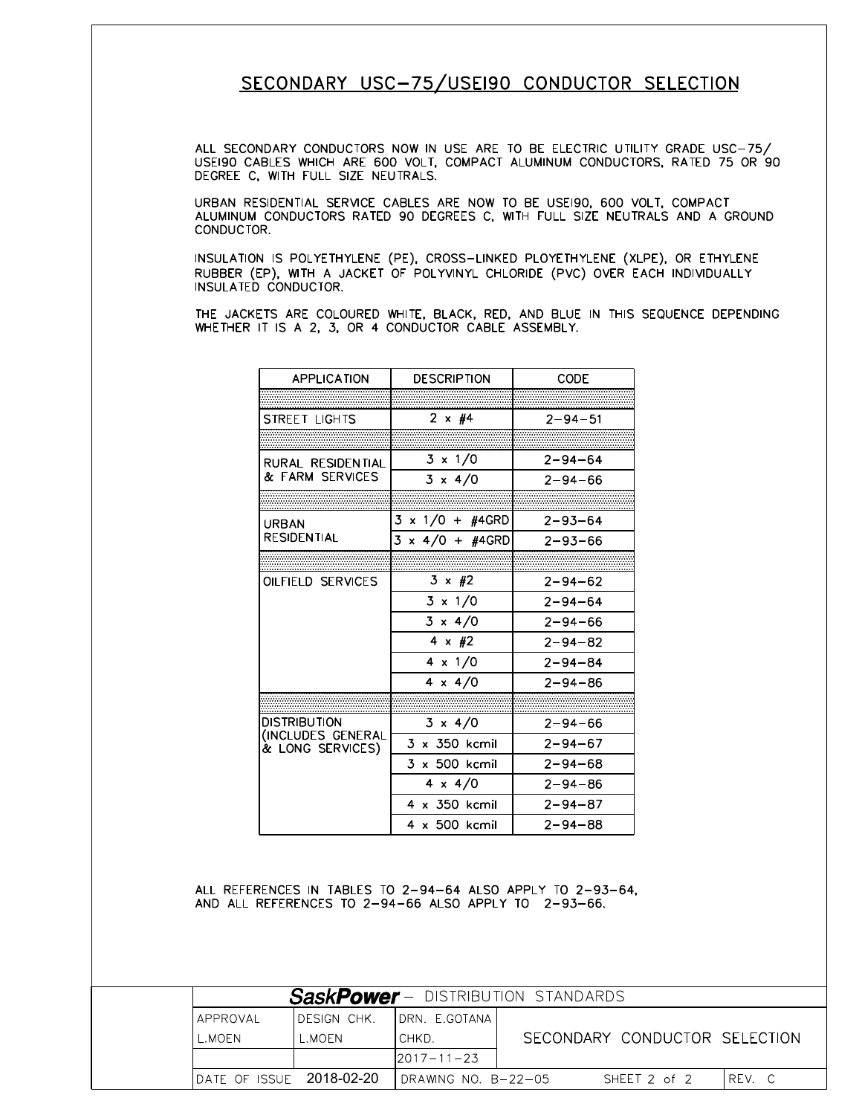## SECONDARY USC-75/USE190 CONDUCTOR SELECTION

ALL SECONDARY CONDUCTORS NOW IN USE ARE TO BE ELECTRIC UTILITY GRADE USC-75/<br>USE190 CABLES WHICH ARE 600 VOLT, COMPACT ALUMINUM CONDUCTORS, RATED 75 OR 90 DEGREE C, WITH FULL SIZE NEUTRALS.

URBAN RESIDENTIAL SERVICE CABLES ARE NOW TO BE USEI90, 600 VOLT, COMPACT ALUMINUM CONDUCTORS RATED 90 DEGREES C, WITH FULL SIZE NEUTRALS AND A GROUND CONDUCTOR.

INSULATION IS POLYETHYLENE (PE), CROSS-LINKED PLOYETHYLENE (XLPE), OR ETHYLENE RUBBER (EP), WITH A JACKET OF POLYVINYL CHLORIDE (PVC) OVER EACH INDIVIDUALLY INSULATED CONDUCTOR.

THE JACKETS ARE COLOURED WHITE, BLACK, RED, AND BLUE IN THIS SEQUENCE DEPENDING WHETHER IT IS A 2, 3, OR 4 CONDUCTOR CABLE ASSEMBLY.

| <b>APPLICATION</b>                    | <b>DESCRIPTION</b>      | CODE          |
|---------------------------------------|-------------------------|---------------|
|                                       |                         |               |
| STREET LIGHTS                         | 2 $\times$ #4           | $2 - 94 - 51$ |
|                                       |                         |               |
| RURAL RESIDENTIAL                     | $3 \times 1/0$          | $2 - 94 - 64$ |
| & FARM SERVICES                       | $3 \times 4/0$          | $2 - 94 - 66$ |
|                                       |                         |               |
| URBAN                                 | $3 \times 1/0 + #4$ GRD | $2 - 93 - 64$ |
| <b>RESIDENTIAL</b>                    | $3 \times 4/0 + #4$ GRD | $2 - 93 - 66$ |
|                                       |                         |               |
| OILFIELD SERVICES                     | $3 \times \#2$          | $2 - 94 - 62$ |
|                                       | $3 \times 1/0$          | $2 - 94 - 64$ |
|                                       | $3 \times 4/0$          | $2 - 94 - 66$ |
|                                       | $4 \times #2$           | $2 - 94 - 82$ |
|                                       | $4 \times 1/0$          | $2 - 94 - 84$ |
|                                       | $4 \times 4/0$          | $2 - 94 - 86$ |
|                                       |                         |               |
| DISTRIBUTION                          | $3 \times 4/0$          | $2 - 94 - 66$ |
| (INCLUDES GENERAL<br>& LONG SERVICES) | 3 x 350 kcmil           | $2 - 94 - 67$ |
|                                       | 3 x 500 kcmil           | $2 - 94 - 68$ |
|                                       | $4 \times 4/0$          | $2 - 94 - 86$ |
|                                       | $4 \times 350$ kcmil    | $2 - 94 - 87$ |
|                                       | 4 x 500 kcmil           | $2 - 94 - 88$ |

ALL REFERENCES IN TABLES TO 2-94-64 ALSO APPLY TO 2-93-64, AND ALL REFERENCES TO 2-94-66 ALSO APPLY TO 2-93-66.

|                                  | <b>SaskPower</b> - DISTRIBUTION STANDARDS |                      |                               |              |        |  |  |  |
|----------------------------------|-------------------------------------------|----------------------|-------------------------------|--------------|--------|--|--|--|
| <b>IAPPROVAL</b>                 | IDESIGN CHK.                              | IDRN. F.GOTANAI      |                               |              |        |  |  |  |
| L.MOEN                           | L.MOEN.                                   | ICHKD.               | SECONDARY CONDUCTOR SELECTION |              |        |  |  |  |
|                                  |                                           | $12017 - 11 - 23$    |                               |              |        |  |  |  |
| <b>IDATE OF ISSUE 2018-02-20</b> |                                           | IDRAWING NO. B-22-05 |                               | SHEET 2 of 2 | IREV.C |  |  |  |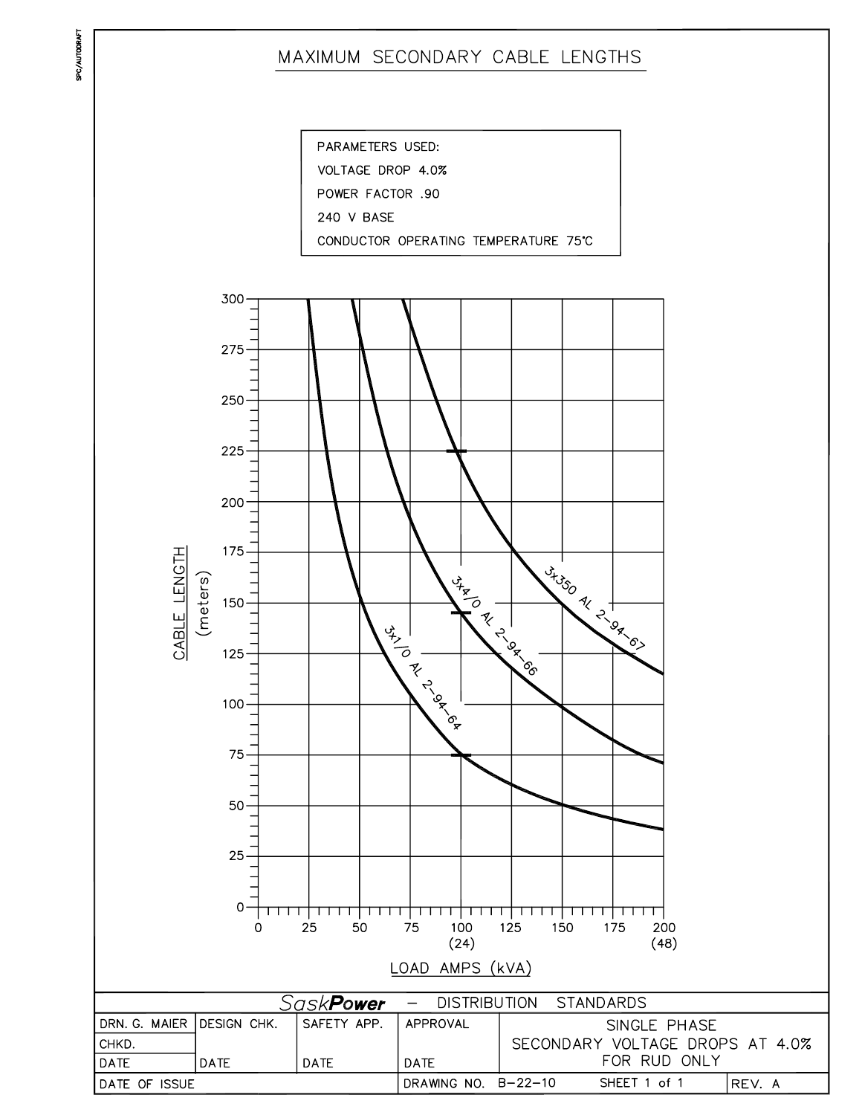# MAXIMUM SECONDARY CABLE LENGTHS

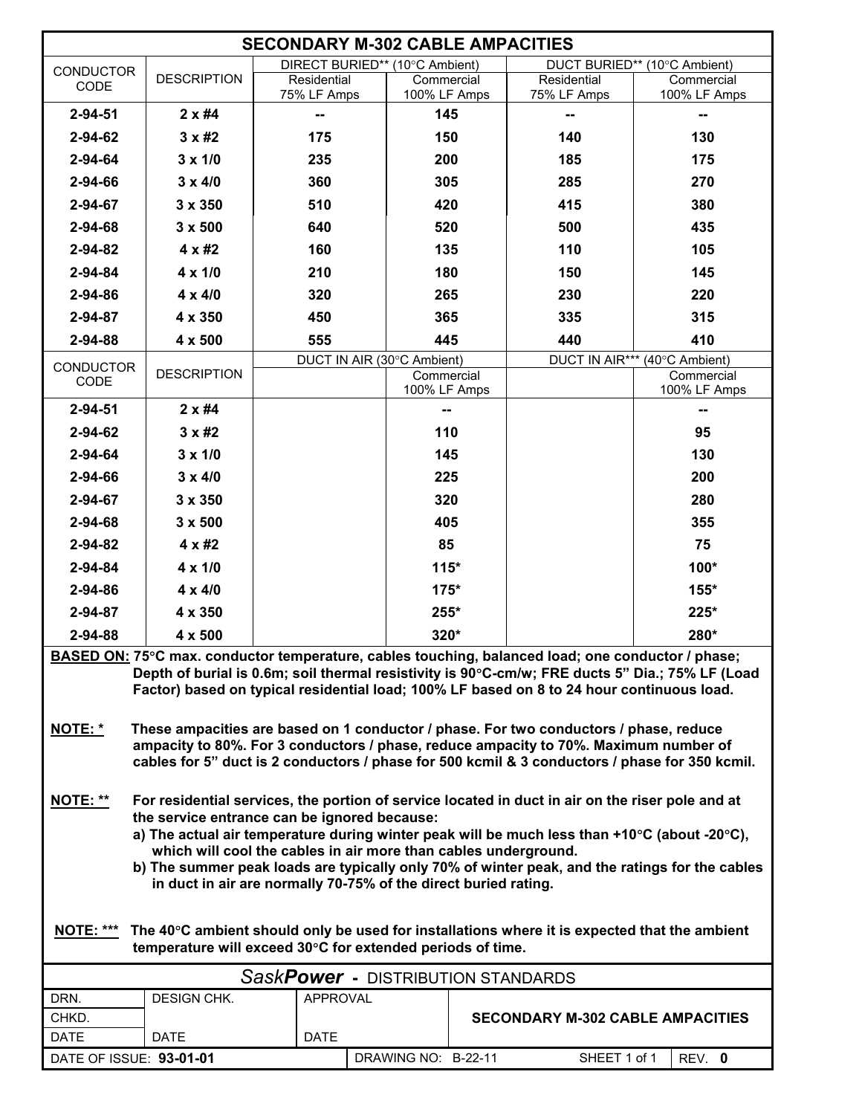| <b>SECONDARY M-302 CABLE AMPACITIES</b> |                                                            |                                                                                                                                                                               |                            |  |                                         |                                                                                                 |
|-----------------------------------------|------------------------------------------------------------|-------------------------------------------------------------------------------------------------------------------------------------------------------------------------------|----------------------------|--|-----------------------------------------|-------------------------------------------------------------------------------------------------|
| <b>CONDUCTOR</b>                        |                                                            | DIRECT BURIED** (10°C Ambient)                                                                                                                                                |                            |  |                                         | DUCT BURIED** (10°C Ambient)                                                                    |
| CODE                                    | <b>DESCRIPTION</b>                                         | Residential<br>75% LF Amps                                                                                                                                                    | Commercial<br>100% LF Amps |  | Residential<br>75% LF Amps              | Commercial<br>100% LF Amps                                                                      |
| $2 - 94 - 51$                           | $2 \times #4$                                              | ⊷                                                                                                                                                                             | 145                        |  |                                         |                                                                                                 |
| 2-94-62                                 | $3 \times \text{\#2}$                                      | 175                                                                                                                                                                           | 150                        |  | 140                                     | 130                                                                                             |
| 2-94-64                                 | $3 \times 1/0$                                             | 235                                                                                                                                                                           | 200                        |  | 185                                     | 175                                                                                             |
| 2-94-66                                 | $3 \times 4/0$                                             | 360                                                                                                                                                                           | 305                        |  | 285                                     | 270                                                                                             |
| 2-94-67                                 | 3 x 350                                                    | 510                                                                                                                                                                           | 420                        |  | 415                                     | 380                                                                                             |
| 2-94-68                                 | $3 \times 500$                                             | 640                                                                                                                                                                           | 520                        |  | 500                                     | 435                                                                                             |
| 2-94-82                                 | 4 x #2                                                     | 160                                                                                                                                                                           | 135                        |  | 110                                     | 105                                                                                             |
| 2-94-84                                 | $4 \times 1/0$                                             | 210                                                                                                                                                                           | 180                        |  | 150                                     | 145                                                                                             |
|                                         |                                                            |                                                                                                                                                                               |                            |  |                                         |                                                                                                 |
| 2-94-86                                 | $4 \times 4/0$                                             | 320                                                                                                                                                                           | 265                        |  | 230                                     | 220                                                                                             |
| 2-94-87                                 | 4 x 350                                                    | 450                                                                                                                                                                           | 365                        |  | 335                                     | 315                                                                                             |
| 2-94-88                                 | 4 x 500                                                    | 555                                                                                                                                                                           | 445                        |  | 440                                     | 410                                                                                             |
| <b>CONDUCTOR</b>                        | <b>DESCRIPTION</b>                                         | DUCT IN AIR (30°C Ambient)                                                                                                                                                    | Commercial                 |  |                                         | DUCT IN AIR*** (40°C Ambient)<br>Commercial                                                     |
| CODE                                    |                                                            |                                                                                                                                                                               | 100% LF Amps               |  |                                         | 100% LF Amps                                                                                    |
| $2 - 94 - 51$                           | $2 \times #4$                                              |                                                                                                                                                                               |                            |  |                                         |                                                                                                 |
| 2-94-62                                 | $3 \times #2$                                              |                                                                                                                                                                               | 110                        |  |                                         | 95                                                                                              |
| 2-94-64                                 | $3 \times 1/0$                                             |                                                                                                                                                                               | 145                        |  |                                         | 130                                                                                             |
| 2-94-66                                 | $3 \times 4/0$                                             |                                                                                                                                                                               | 225                        |  |                                         | 200                                                                                             |
| 2-94-67                                 | 3 x 350                                                    |                                                                                                                                                                               | 320                        |  |                                         | 280                                                                                             |
| 2-94-68                                 | $3 \times 500$                                             |                                                                                                                                                                               | 405                        |  |                                         | 355                                                                                             |
| 2-94-82                                 | 4 x #2                                                     |                                                                                                                                                                               | 85                         |  |                                         | 75                                                                                              |
| 2-94-84                                 | $4 \times 1/0$                                             |                                                                                                                                                                               | $115*$                     |  |                                         | 100*                                                                                            |
| 2-94-86                                 | $4 \times 4/0$                                             |                                                                                                                                                                               | $175*$                     |  |                                         | 155*                                                                                            |
| 2-94-87                                 | 4 x 350                                                    |                                                                                                                                                                               | 255*                       |  |                                         | 225*                                                                                            |
| 2-94-88                                 | 4 x 500                                                    |                                                                                                                                                                               | 320*                       |  |                                         | 280*                                                                                            |
|                                         |                                                            | BASED ON: 75°C max. conductor temperature, cables touching, balanced load; one conductor / phase;                                                                             |                            |  |                                         |                                                                                                 |
|                                         |                                                            |                                                                                                                                                                               |                            |  |                                         | Depth of burial is 0.6m; soil thermal resistivity is 90°C-cm/w; FRE ducts 5" Dia.; 75% LF (Load |
|                                         |                                                            | Factor) based on typical residential load; 100% LF based on 8 to 24 hour continuous load.                                                                                     |                            |  |                                         |                                                                                                 |
|                                         |                                                            |                                                                                                                                                                               |                            |  |                                         |                                                                                                 |
| <b>NOTE: *</b>                          |                                                            | These ampacities are based on 1 conductor / phase. For two conductors / phase, reduce<br>ampacity to 80%. For 3 conductors / phase, reduce ampacity to 70%. Maximum number of |                            |  |                                         |                                                                                                 |
|                                         |                                                            | cables for 5" duct is 2 conductors / phase for 500 kcmil & 3 conductors / phase for 350 kcmil.                                                                                |                            |  |                                         |                                                                                                 |
|                                         |                                                            |                                                                                                                                                                               |                            |  |                                         |                                                                                                 |
| NOTE: **                                |                                                            | For residential services, the portion of service located in duct in air on the riser pole and at                                                                              |                            |  |                                         |                                                                                                 |
|                                         |                                                            | the service entrance can be ignored because:<br>a) The actual air temperature during winter peak will be much less than +10°C (about -20°C),                                  |                            |  |                                         |                                                                                                 |
|                                         |                                                            | which will cool the cables in air more than cables underground.                                                                                                               |                            |  |                                         |                                                                                                 |
|                                         |                                                            |                                                                                                                                                                               |                            |  |                                         | b) The summer peak loads are typically only 70% of winter peak, and the ratings for the cables  |
|                                         |                                                            | in duct in air are normally 70-75% of the direct buried rating.                                                                                                               |                            |  |                                         |                                                                                                 |
|                                         |                                                            |                                                                                                                                                                               |                            |  |                                         |                                                                                                 |
| <b>NOTE: ***</b>                        |                                                            | The 40°C ambient should only be used for installations where it is expected that the ambient                                                                                  |                            |  |                                         |                                                                                                 |
|                                         | temperature will exceed 30°C for extended periods of time. |                                                                                                                                                                               |                            |  |                                         |                                                                                                 |
|                                         |                                                            | SaskPower - DISTRIBUTION STANDARDS                                                                                                                                            |                            |  |                                         |                                                                                                 |
| DRN.                                    | <b>DESIGN CHK.</b>                                         | <b>APPROVAL</b>                                                                                                                                                               |                            |  |                                         |                                                                                                 |
| CHKD.                                   |                                                            |                                                                                                                                                                               |                            |  | <b>SECONDARY M-302 CABLE AMPACITIES</b> |                                                                                                 |
| <b>DATE</b>                             | <b>DATE</b>                                                | <b>DATE</b>                                                                                                                                                                   |                            |  |                                         |                                                                                                 |
| DATE OF ISSUE: 93-01-01                 |                                                            |                                                                                                                                                                               | DRAWING NO: B-22-11        |  | SHEET 1 of 1                            | REV. 0                                                                                          |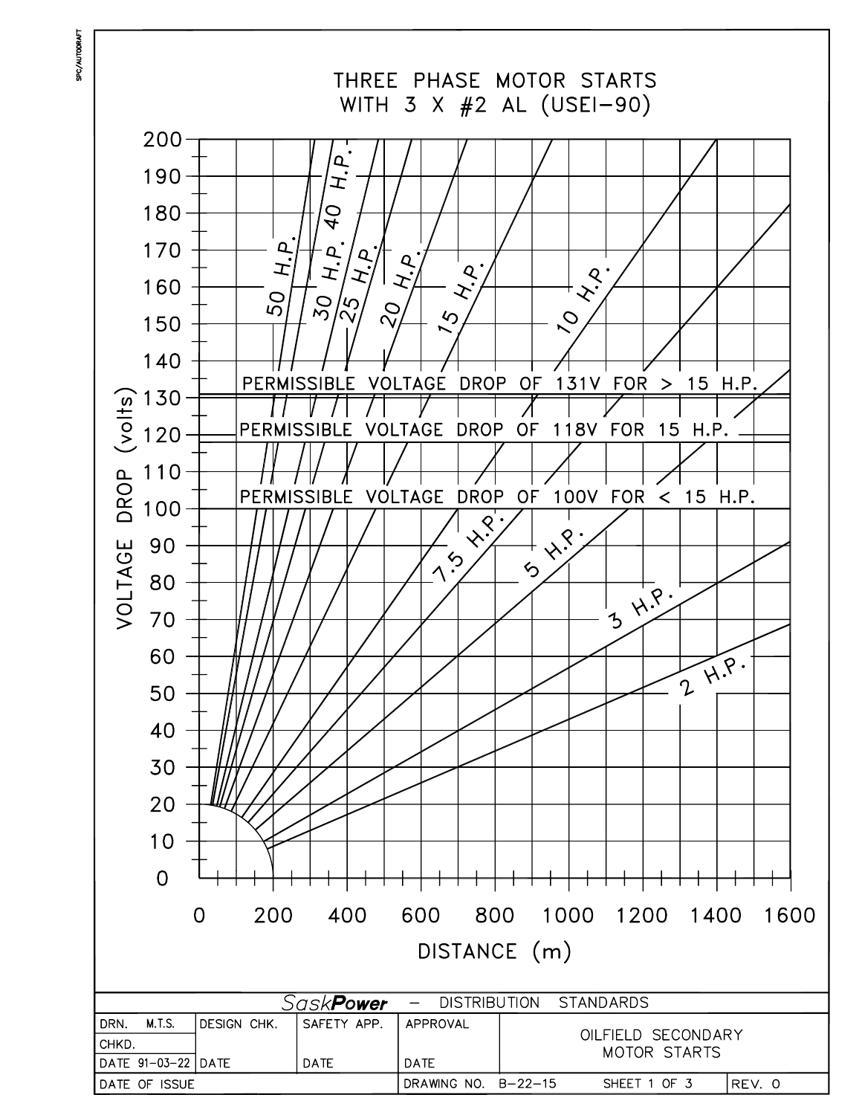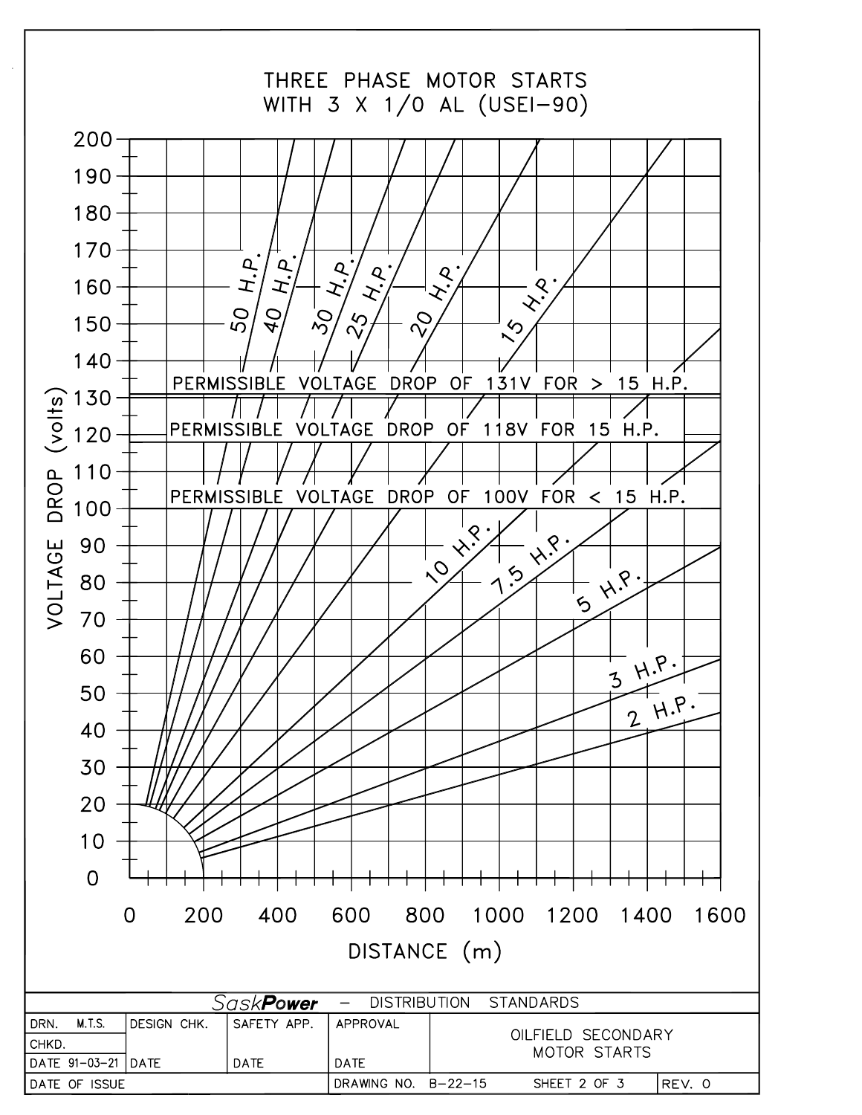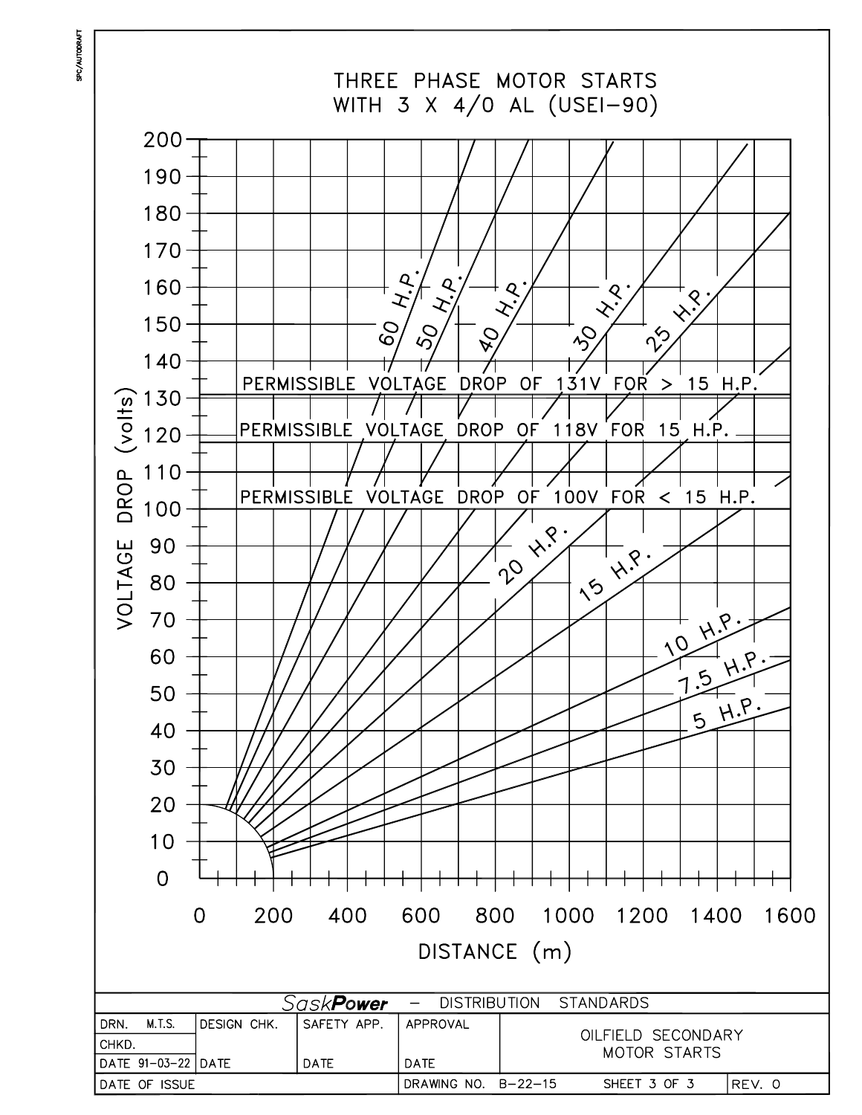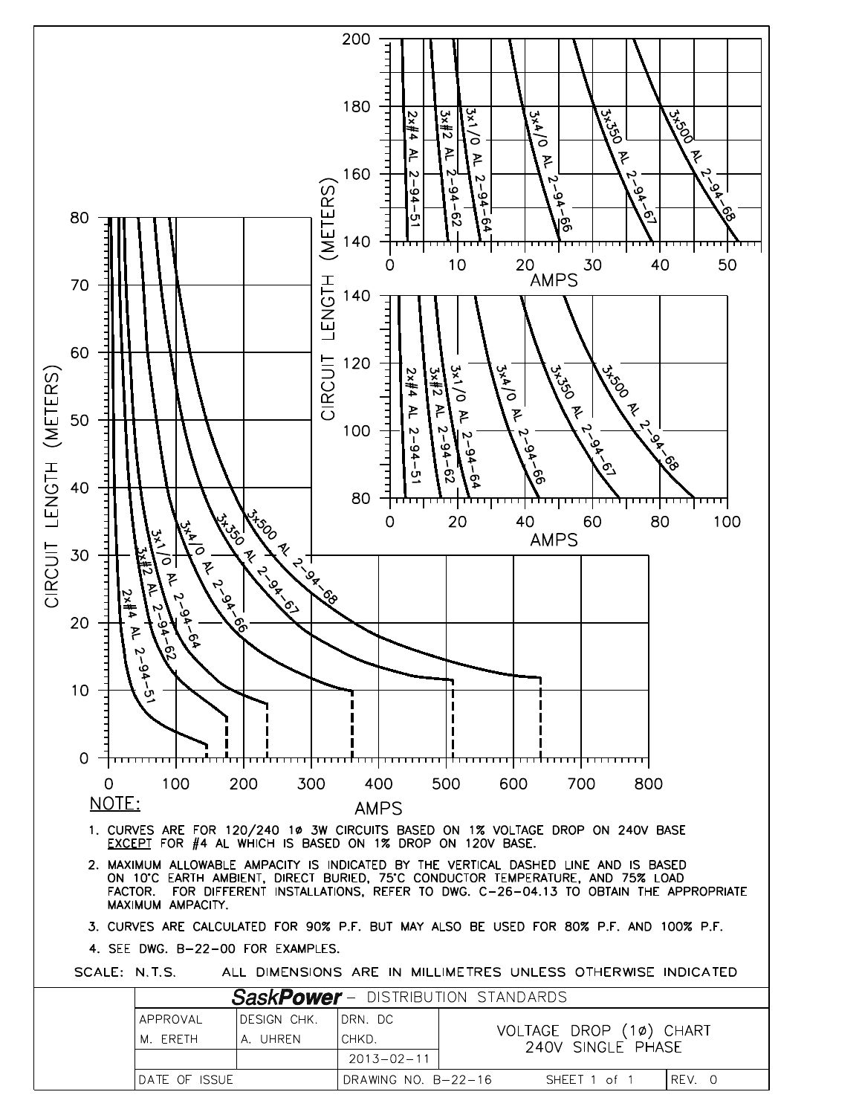

DATE OF ISSUE DRAWING NO. B-22-16 REV. 0 SHEET 1 of 1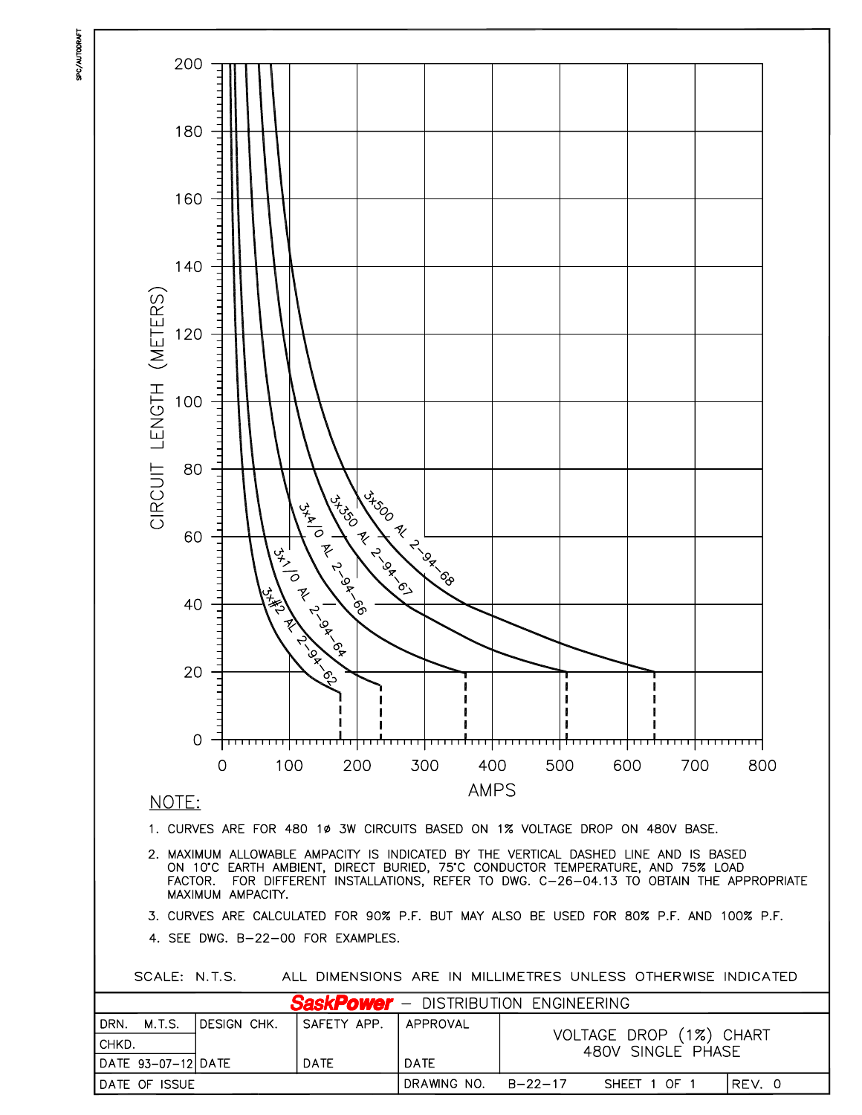

DRAWING NO.

 $B - 22 - 17$ 

SHEET 1 OF 1

REV. 0

DATE OF ISSUE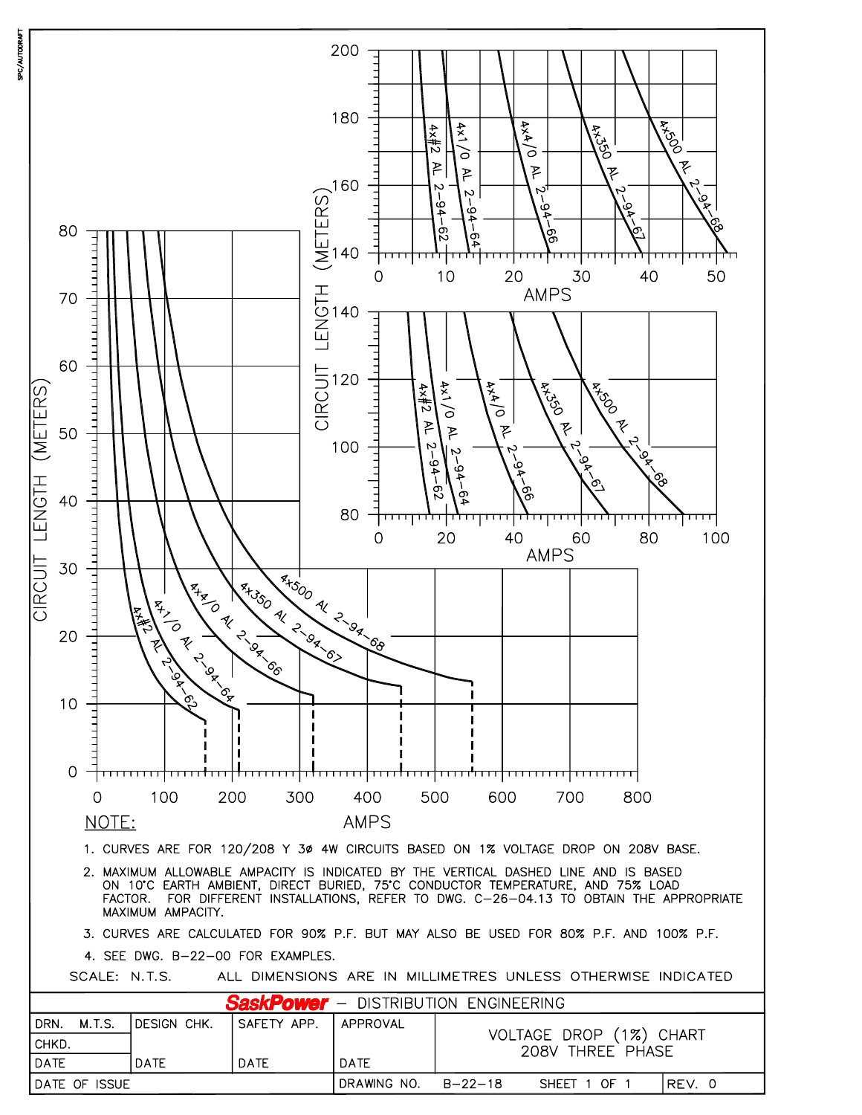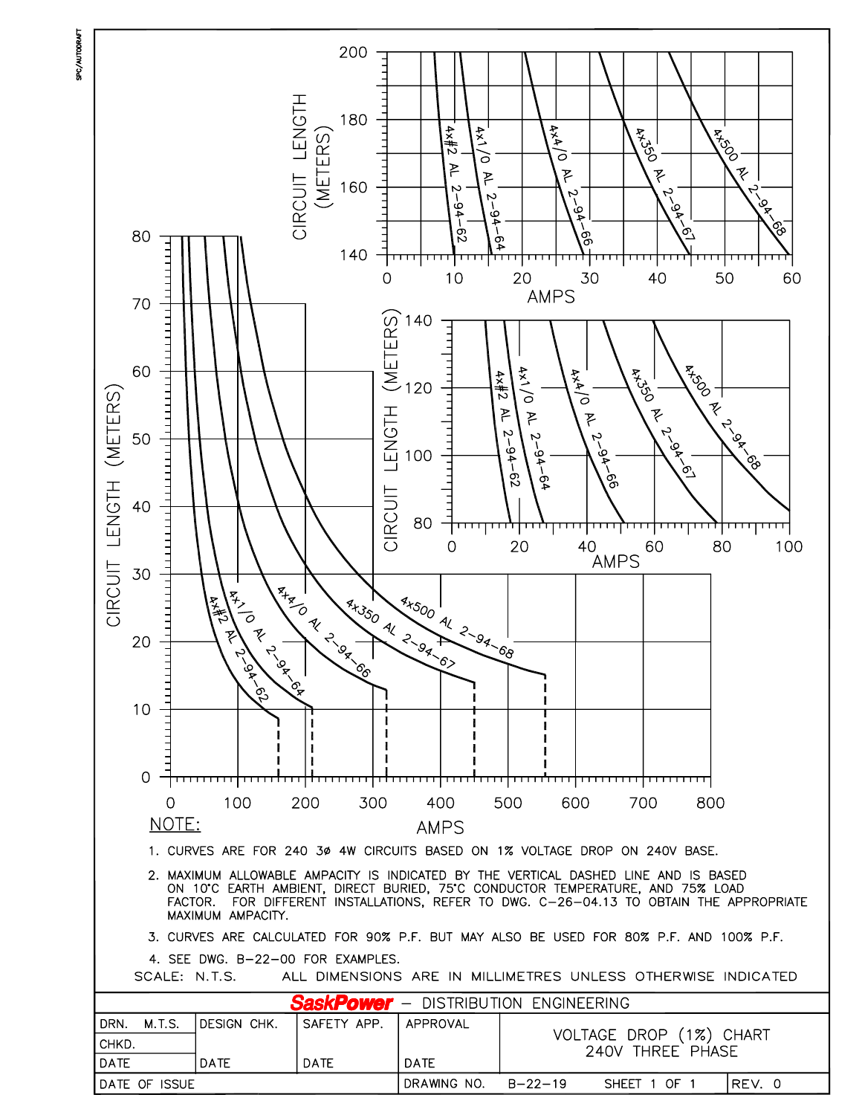

SPC/AUTODRAF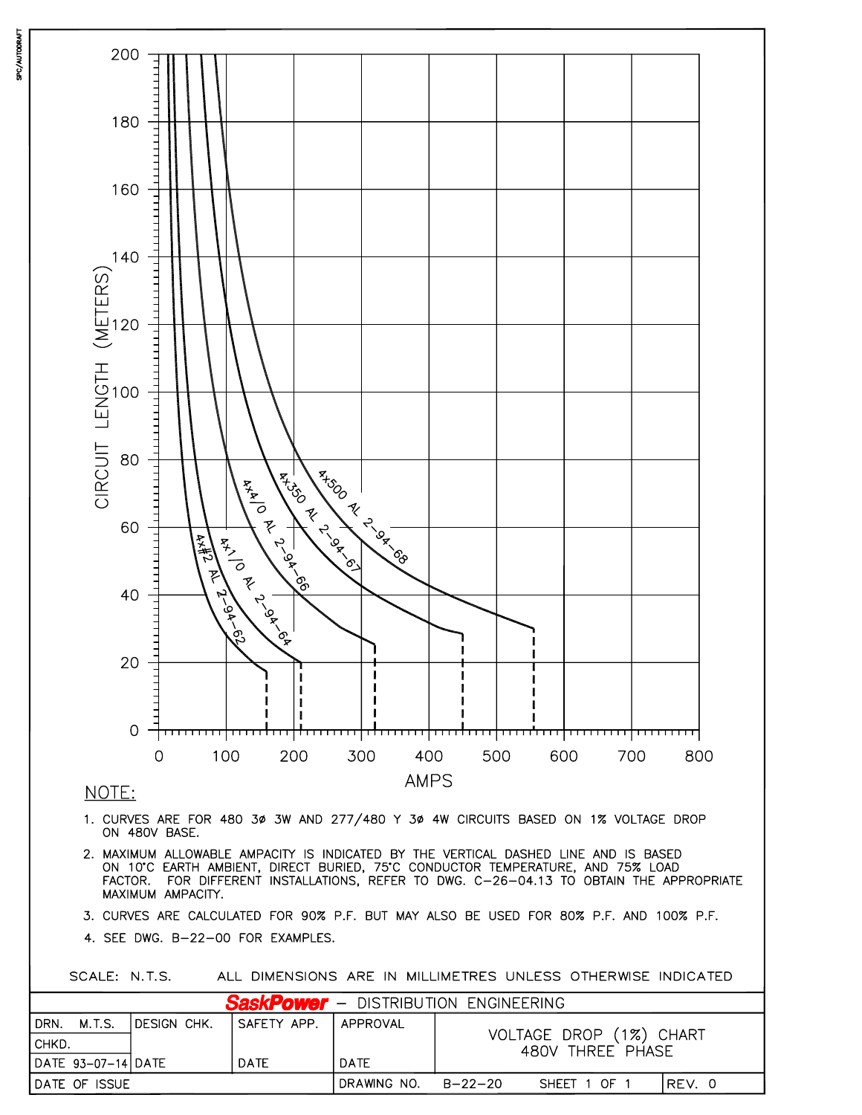